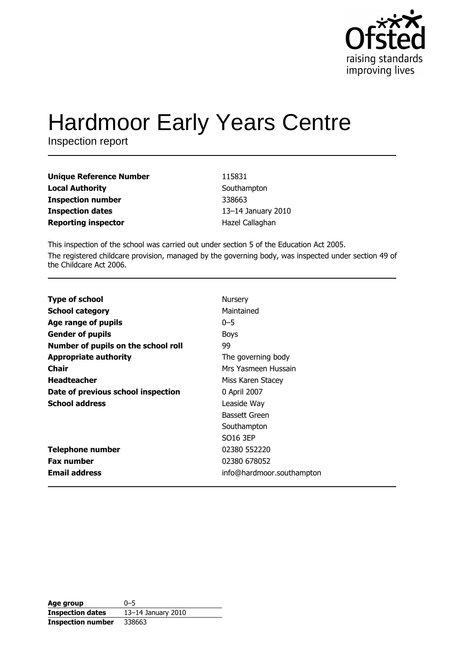

# **Hardmoor Early Years Centre**

Inspection report

| <b>Unique Reference Number</b> |
|--------------------------------|
| <b>Local Authority</b>         |
| <b>Inspection number</b>       |
| <b>Inspection dates</b>        |
| <b>Reporting inspector</b>     |

115831 Southampton 338663 13-14 January 2010 Hazel Callaghan

This inspection of the school was carried out under section 5 of the Education Act 2005. The registered childcare provision, managed by the governing body, was inspected under section 49 of the Childcare Act 2006.

| <b>Type of school</b>               | Nursery                   |
|-------------------------------------|---------------------------|
| <b>School category</b>              | Maintained                |
| Age range of pupils                 | $0 - 5$                   |
| <b>Gender of pupils</b>             | <b>Boys</b>               |
| Number of pupils on the school roll | 99                        |
| <b>Appropriate authority</b>        | The governing body        |
| <b>Chair</b>                        | Mrs Yasmeen Hussain       |
| <b>Headteacher</b>                  | Miss Karen Stacey         |
| Date of previous school inspection  | 0 April 2007              |
| <b>School address</b>               | Leaside Way               |
|                                     | <b>Bassett Green</b>      |
|                                     | Southampton               |
|                                     | SO <sub>16</sub> 3EP      |
| <b>Telephone number</b>             | 02380 552220              |
| <b>Fax number</b>                   | 02380 678052              |
| <b>Email address</b>                | info@hardmoor.southampton |

| Age group                | $0 - 5$            |
|--------------------------|--------------------|
| <b>Inspection dates</b>  | 13-14 January 2010 |
| <b>Inspection number</b> | 338663             |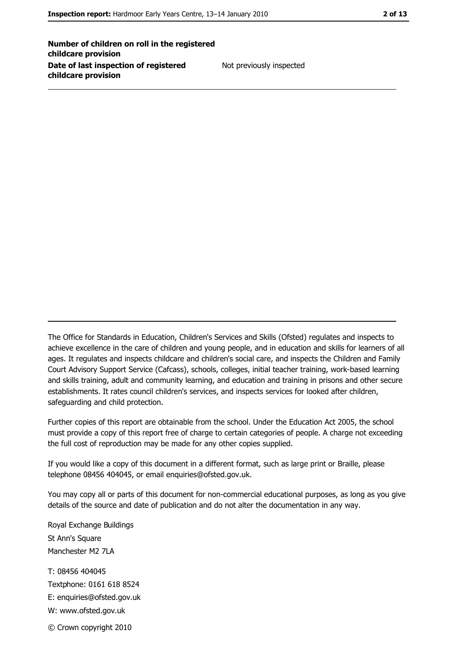Number of children on roll in the registered childcare provision Date of last inspection of registered childcare provision

Not previously inspected

The Office for Standards in Education, Children's Services and Skills (Ofsted) regulates and inspects to achieve excellence in the care of children and young people, and in education and skills for learners of all ages. It regulates and inspects childcare and children's social care, and inspects the Children and Family Court Advisory Support Service (Cafcass), schools, colleges, initial teacher training, work-based learning and skills training, adult and community learning, and education and training in prisons and other secure establishments. It rates council children's services, and inspects services for looked after children, safequarding and child protection.

Further copies of this report are obtainable from the school. Under the Education Act 2005, the school must provide a copy of this report free of charge to certain categories of people. A charge not exceeding the full cost of reproduction may be made for any other copies supplied.

If you would like a copy of this document in a different format, such as large print or Braille, please telephone 08456 404045, or email enquiries@ofsted.gov.uk.

You may copy all or parts of this document for non-commercial educational purposes, as long as you give details of the source and date of publication and do not alter the documentation in any way.

Royal Exchange Buildings St Ann's Square Manchester M2 7LA T: 08456 404045 Textphone: 0161 618 8524 E: enquiries@ofsted.gov.uk W: www.ofsted.gov.uk © Crown copyright 2010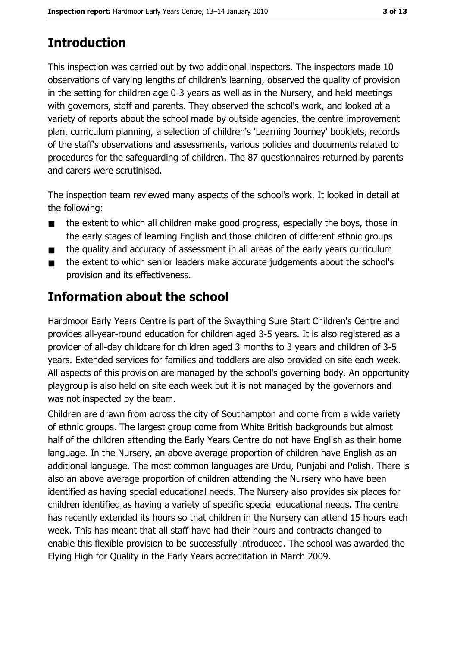# **Introduction**

This inspection was carried out by two additional inspectors. The inspectors made 10 observations of varying lengths of children's learning, observed the quality of provision in the setting for children age 0-3 years as well as in the Nursery, and held meetings with governors, staff and parents. They observed the school's work, and looked at a variety of reports about the school made by outside agencies, the centre improvement plan, curriculum planning, a selection of children's 'Learning Journey' booklets, records of the staff's observations and assessments, various policies and documents related to procedures for the safeguarding of children. The 87 guestionnaires returned by parents and carers were scrutinised.

The inspection team reviewed many aspects of the school's work. It looked in detail at the following:

- the extent to which all children make good progress, especially the boys, those in  $\blacksquare$ the early stages of learning English and those children of different ethnic groups
- the quality and accuracy of assessment in all areas of the early years curriculum  $\blacksquare$
- the extent to which senior leaders make accurate judgements about the school's  $\blacksquare$ provision and its effectiveness.

# Information about the school

Hardmoor Early Years Centre is part of the Swaything Sure Start Children's Centre and provides all-year-round education for children aged 3-5 years. It is also registered as a provider of all-day childcare for children aged 3 months to 3 years and children of 3-5 years. Extended services for families and toddlers are also provided on site each week. All aspects of this provision are managed by the school's governing body. An opportunity playgroup is also held on site each week but it is not managed by the governors and was not inspected by the team.

Children are drawn from across the city of Southampton and come from a wide variety of ethnic groups. The largest group come from White British backgrounds but almost half of the children attending the Early Years Centre do not have English as their home language. In the Nursery, an above average proportion of children have English as an additional language. The most common languages are Urdu, Punjabi and Polish. There is also an above average proportion of children attending the Nursery who have been identified as having special educational needs. The Nursery also provides six places for children identified as having a variety of specific special educational needs. The centre has recently extended its hours so that children in the Nursery can attend 15 hours each week. This has meant that all staff have had their hours and contracts changed to enable this flexible provision to be successfully introduced. The school was awarded the Flying High for Quality in the Early Years accreditation in March 2009.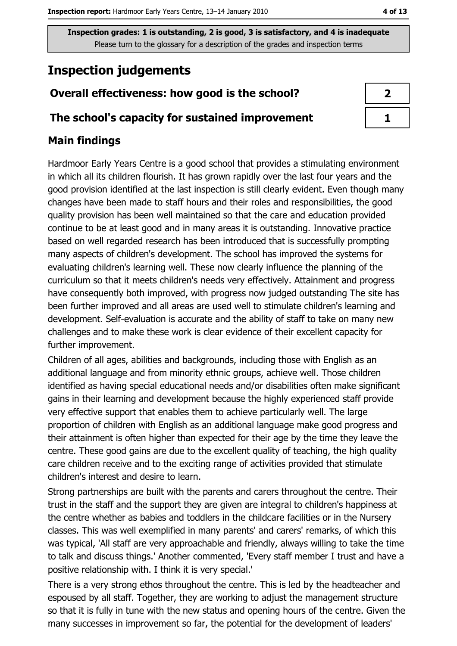# **Inspection judgements**

# Overall effectiveness: how good is the school?

## The school's capacity for sustained improvement

# **Main findings**

Hardmoor Early Years Centre is a good school that provides a stimulating environment in which all its children flourish. It has grown rapidly over the last four years and the good provision identified at the last inspection is still clearly evident. Even though many changes have been made to staff hours and their roles and responsibilities, the good quality provision has been well maintained so that the care and education provided continue to be at least good and in many areas it is outstanding. Innovative practice based on well regarded research has been introduced that is successfully prompting many aspects of children's development. The school has improved the systems for evaluating children's learning well. These now clearly influence the planning of the curriculum so that it meets children's needs very effectively. Attainment and progress have consequently both improved, with progress now judged outstanding The site has been further improved and all areas are used well to stimulate children's learning and development. Self-evaluation is accurate and the ability of staff to take on many new challenges and to make these work is clear evidence of their excellent capacity for further improvement.

Children of all ages, abilities and backgrounds, including those with English as an additional language and from minority ethnic groups, achieve well. Those children identified as having special educational needs and/or disabilities often make significant gains in their learning and development because the highly experienced staff provide very effective support that enables them to achieve particularly well. The large proportion of children with English as an additional language make good progress and their attainment is often higher than expected for their age by the time they leave the centre. These good gains are due to the excellent quality of teaching, the high quality care children receive and to the exciting range of activities provided that stimulate children's interest and desire to learn.

Strong partnerships are built with the parents and carers throughout the centre. Their trust in the staff and the support they are given are integral to children's happiness at the centre whether as babies and toddlers in the childcare facilities or in the Nursery classes. This was well exemplified in many parents' and carers' remarks, of which this was typical, 'All staff are very approachable and friendly, always willing to take the time to talk and discuss things.' Another commented, 'Every staff member I trust and have a positive relationship with. I think it is very special.'

There is a very strong ethos throughout the centre. This is led by the headteacher and espoused by all staff. Together, they are working to adjust the management structure so that it is fully in tune with the new status and opening hours of the centre. Given the many successes in improvement so far, the potential for the development of leaders'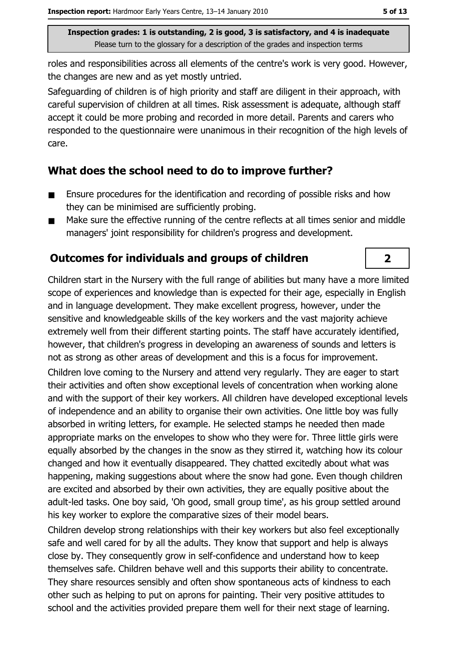roles and responsibilities across all elements of the centre's work is very good. However, the changes are new and as yet mostly untried.

Safeguarding of children is of high priority and staff are diligent in their approach, with careful supervision of children at all times. Risk assessment is adequate, although staff accept it could be more probing and recorded in more detail. Parents and carers who responded to the questionnaire were unanimous in their recognition of the high levels of care.

## What does the school need to do to improve further?

- Ensure procedures for the identification and recording of possible risks and how  $\blacksquare$ they can be minimised are sufficiently probing.
- Make sure the effective running of the centre reflects at all times senior and middle  $\blacksquare$ managers' joint responsibility for children's progress and development.

# Outcomes for individuals and groups of children

Children start in the Nursery with the full range of abilities but many have a more limited scope of experiences and knowledge than is expected for their age, especially in English and in language development. They make excellent progress, however, under the sensitive and knowledgeable skills of the key workers and the vast majority achieve extremely well from their different starting points. The staff have accurately identified, however, that children's progress in developing an awareness of sounds and letters is not as strong as other areas of development and this is a focus for improvement.

Children love comina to the Nursery and attend very regularly. They are eager to start their activities and often show exceptional levels of concentration when working alone and with the support of their key workers. All children have developed exceptional levels of independence and an ability to organise their own activities. One little boy was fully absorbed in writing letters, for example. He selected stamps he needed then made appropriate marks on the envelopes to show who they were for. Three little girls were equally absorbed by the changes in the snow as they stirred it, watching how its colour changed and how it eventually disappeared. They chatted excitedly about what was happening, making suggestions about where the snow had gone. Even though children are excited and absorbed by their own activities, they are equally positive about the adult-led tasks. One boy said, 'Oh good, small group time', as his group settled around his key worker to explore the comparative sizes of their model bears.

Children develop strong relationships with their key workers but also feel exceptionally safe and well cared for by all the adults. They know that support and help is always close by. They consequently grow in self-confidence and understand how to keep themselves safe. Children behave well and this supports their ability to concentrate. They share resources sensibly and often show spontaneous acts of kindness to each other such as helping to put on aprons for painting. Their very positive attitudes to school and the activities provided prepare them well for their next stage of learning.

 $\overline{2}$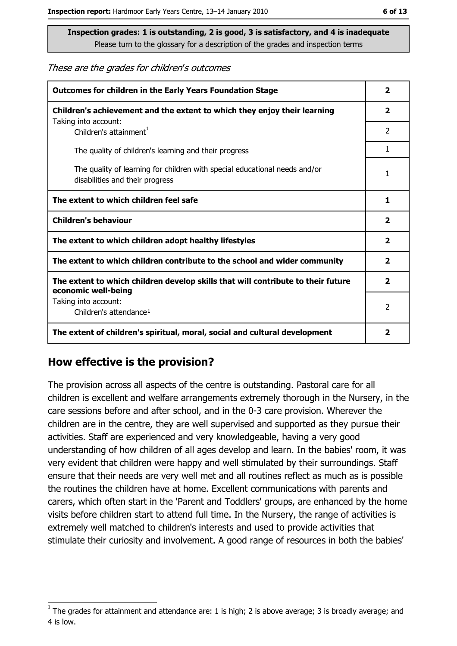#### These are the grades for children's outcomes

| <b>Outcomes for children in the Early Years Foundation Stage</b>                                              |                |  |
|---------------------------------------------------------------------------------------------------------------|----------------|--|
| Children's achievement and the extent to which they enjoy their learning                                      |                |  |
| Taking into account:<br>Children's attainment <sup>1</sup>                                                    | 2              |  |
| The quality of children's learning and their progress                                                         | 1.             |  |
| The quality of learning for children with special educational needs and/or<br>disabilities and their progress |                |  |
| The extent to which children feel safe                                                                        |                |  |
| <b>Children's behaviour</b>                                                                                   |                |  |
| The extent to which children adopt healthy lifestyles                                                         |                |  |
| The extent to which children contribute to the school and wider community                                     |                |  |
| The extent to which children develop skills that will contribute to their future<br>economic well-being       |                |  |
| Taking into account:                                                                                          | $\overline{2}$ |  |
| Children's attendance <sup>1</sup>                                                                            |                |  |
| The extent of children's spiritual, moral, social and cultural development                                    | 2              |  |

## How effective is the provision?

The provision across all aspects of the centre is outstanding. Pastoral care for all children is excellent and welfare arrangements extremely thorough in the Nursery, in the care sessions before and after school, and in the 0-3 care provision. Wherever the children are in the centre, they are well supervised and supported as they pursue their activities. Staff are experienced and very knowledgeable, having a very good understanding of how children of all ages develop and learn. In the babies' room, it was very evident that children were happy and well stimulated by their surroundings. Staff ensure that their needs are very well met and all routines reflect as much as is possible the routines the children have at home. Excellent communications with parents and carers, which often start in the 'Parent and Toddlers' groups, are enhanced by the home visits before children start to attend full time. In the Nursery, the range of activities is extremely well matched to children's interests and used to provide activities that stimulate their curiosity and involvement. A good range of resources in both the babies'

The grades for attainment and attendance are: 1 is high; 2 is above average; 3 is broadly average; and 4 is low.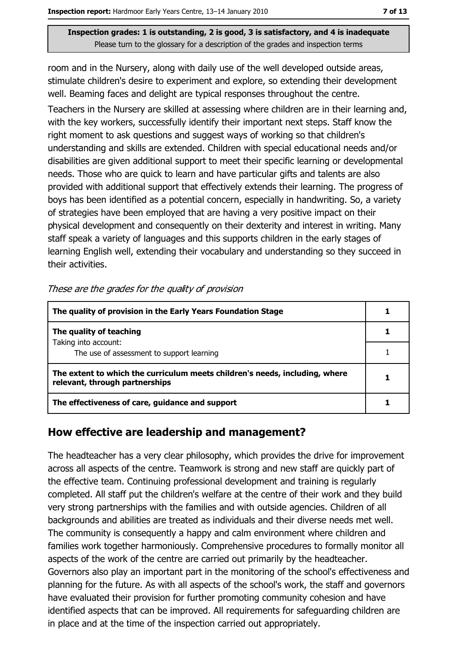room and in the Nursery, along with daily use of the well developed outside areas, stimulate children's desire to experiment and explore, so extending their development well. Beaming faces and delight are typical responses throughout the centre.

Teachers in the Nursery are skilled at assessing where children are in their learning and, with the key workers, successfully identify their important next steps. Staff know the right moment to ask questions and suggest ways of working so that children's understanding and skills are extended. Children with special educational needs and/or disabilities are given additional support to meet their specific learning or developmental needs. Those who are quick to learn and have particular gifts and talents are also provided with additional support that effectively extends their learning. The progress of boys has been identified as a potential concern, especially in handwriting. So, a variety of strategies have been employed that are having a very positive impact on their physical development and consequently on their dexterity and interest in writing. Many staff speak a variety of languages and this supports children in the early stages of learning English well, extending their vocabulary and understanding so they succeed in their activities.

| The quality of provision in the Early Years Foundation Stage                                                  |  |
|---------------------------------------------------------------------------------------------------------------|--|
| The quality of teaching                                                                                       |  |
| Taking into account:<br>The use of assessment to support learning                                             |  |
| The extent to which the curriculum meets children's needs, including, where<br>relevant, through partnerships |  |
| The effectiveness of care, guidance and support                                                               |  |

These are the grades for the quality of provision

## How effective are leadership and management?

The headteacher has a very clear philosophy, which provides the drive for improvement across all aspects of the centre. Teamwork is strong and new staff are quickly part of the effective team. Continuing professional development and training is regularly completed. All staff put the children's welfare at the centre of their work and they build very strong partnerships with the families and with outside agencies. Children of all backgrounds and abilities are treated as individuals and their diverse needs met well. The community is consequently a happy and calm environment where children and families work together harmoniously. Comprehensive procedures to formally monitor all aspects of the work of the centre are carried out primarily by the headteacher. Governors also play an important part in the monitoring of the school's effectiveness and planning for the future. As with all aspects of the school's work, the staff and governors have evaluated their provision for further promoting community cohesion and have identified aspects that can be improved. All requirements for safeguarding children are in place and at the time of the inspection carried out appropriately.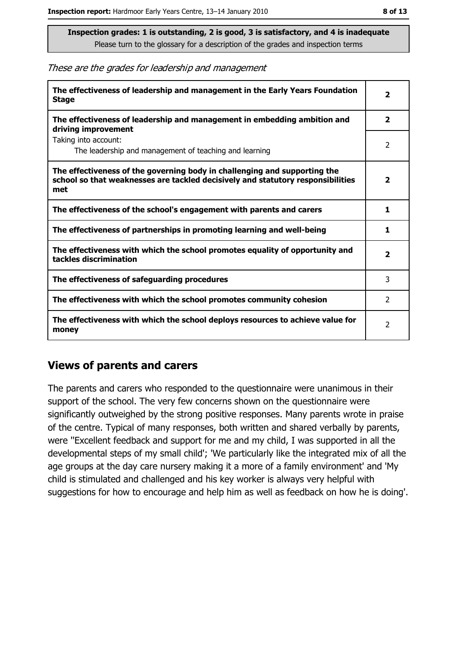These are the grades for leadership and management

| The effectiveness of leadership and management in the Early Years Foundation<br><b>Stage</b>                                                                        | $\overline{\mathbf{2}}$ |
|---------------------------------------------------------------------------------------------------------------------------------------------------------------------|-------------------------|
| The effectiveness of leadership and management in embedding ambition and<br>driving improvement                                                                     | $\overline{\mathbf{2}}$ |
| Taking into account:<br>The leadership and management of teaching and learning                                                                                      | 2                       |
| The effectiveness of the governing body in challenging and supporting the<br>school so that weaknesses are tackled decisively and statutory responsibilities<br>met | $\mathbf{2}$            |
| The effectiveness of the school's engagement with parents and carers                                                                                                | 1                       |
| The effectiveness of partnerships in promoting learning and well-being                                                                                              | 1                       |
| The effectiveness with which the school promotes equality of opportunity and<br>tackles discrimination                                                              | $\overline{\mathbf{2}}$ |
| The effectiveness of safeguarding procedures                                                                                                                        | 3                       |
| The effectiveness with which the school promotes community cohesion                                                                                                 | $\mathcal{P}$           |
| The effectiveness with which the school deploys resources to achieve value for<br>money                                                                             | $\overline{2}$          |

## **Views of parents and carers**

The parents and carers who responded to the questionnaire were unanimous in their support of the school. The very few concerns shown on the questionnaire were significantly outweighed by the strong positive responses. Many parents wrote in praise of the centre. Typical of many responses, both written and shared verbally by parents, were "Excellent feedback and support for me and my child, I was supported in all the developmental steps of my small child'; 'We particularly like the integrated mix of all the age groups at the day care nursery making it a more of a family environment' and 'My child is stimulated and challenged and his key worker is always very helpful with suggestions for how to encourage and help him as well as feedback on how he is doing'.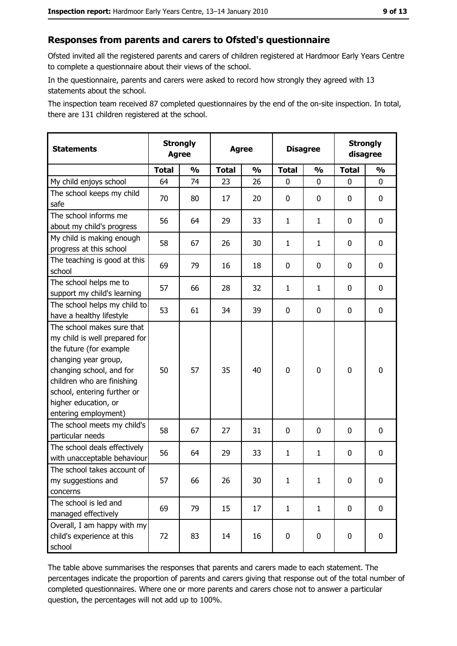# Responses from parents and carers to Ofsted's questionnaire

Ofsted invited all the registered parents and carers of children registered at Hardmoor Early Years Centre to complete a questionnaire about their views of the school.

In the questionnaire, parents and carers were asked to record how strongly they agreed with 13 statements about the school.

The inspection team received 87 completed questionnaires by the end of the on-site inspection. In total, there are 131 children registered at the school.

| <b>Statements</b>                                                                                                                                                                                                                                       | <b>Strongly</b><br><b>Agree</b> |               | <b>Agree</b> |               | <b>Disagree</b> |               | <b>Strongly</b><br>disagree |               |
|---------------------------------------------------------------------------------------------------------------------------------------------------------------------------------------------------------------------------------------------------------|---------------------------------|---------------|--------------|---------------|-----------------|---------------|-----------------------------|---------------|
|                                                                                                                                                                                                                                                         | <b>Total</b>                    | $\frac{0}{0}$ | <b>Total</b> | $\frac{0}{0}$ | <b>Total</b>    | $\frac{1}{2}$ | <b>Total</b>                | $\frac{1}{2}$ |
| My child enjoys school                                                                                                                                                                                                                                  | 64                              | 74            | 23           | 26            | 0               | 0             | 0                           | 0             |
| The school keeps my child<br>safe                                                                                                                                                                                                                       | 70                              | 80            | 17           | 20            | $\mathbf 0$     | 0             | 0                           | 0             |
| The school informs me<br>about my child's progress                                                                                                                                                                                                      | 56                              | 64            | 29           | 33            | $\mathbf{1}$    | $\mathbf{1}$  | 0                           | 0             |
| My child is making enough<br>progress at this school                                                                                                                                                                                                    | 58                              | 67            | 26           | 30            | 1               | 1             | 0                           | 0             |
| The teaching is good at this<br>school                                                                                                                                                                                                                  | 69                              | 79            | 16           | 18            | $\mathbf 0$     | 0             | 0                           | 0             |
| The school helps me to<br>support my child's learning                                                                                                                                                                                                   | 57                              | 66            | 28           | 32            | $\mathbf{1}$    | $\mathbf{1}$  | 0                           | 0             |
| The school helps my child to<br>have a healthy lifestyle                                                                                                                                                                                                | 53                              | 61            | 34           | 39            | $\mathbf 0$     | 0             | 0                           | 0             |
| The school makes sure that<br>my child is well prepared for<br>the future (for example<br>changing year group,<br>changing school, and for<br>children who are finishing<br>school, entering further or<br>higher education, or<br>entering employment) | 50                              | 57            | 35           | 40            | $\overline{0}$  | 0             | 0                           | $\mathbf 0$   |
| The school meets my child's<br>particular needs                                                                                                                                                                                                         | 58                              | 67            | 27           | 31            | $\mathbf 0$     | 0             | 0                           | 0             |
| The school deals effectively<br>with unacceptable behaviour                                                                                                                                                                                             | 56                              | 64            | 29           | 33            | $\mathbf{1}$    | $\mathbf{1}$  | 0                           | 0             |
| The school takes account of<br>my suggestions and<br>concerns                                                                                                                                                                                           | 57                              | 66            | 26           | 30            | $\mathbf 1$     | $\mathbf{1}$  | 0                           | 0             |
| The school is led and<br>managed effectively                                                                                                                                                                                                            | 69                              | 79            | 15           | 17            | $\mathbf{1}$    | $\mathbf{1}$  | 0                           | 0             |
| Overall, I am happy with my<br>child's experience at this<br>school                                                                                                                                                                                     | 72                              | 83            | 14           | 16            | $\pmb{0}$       | 0             | 0                           | 0             |

The table above summarises the responses that parents and carers made to each statement. The percentages indicate the proportion of parents and carers giving that response out of the total number of completed questionnaires. Where one or more parents and carers chose not to answer a particular question, the percentages will not add up to 100%.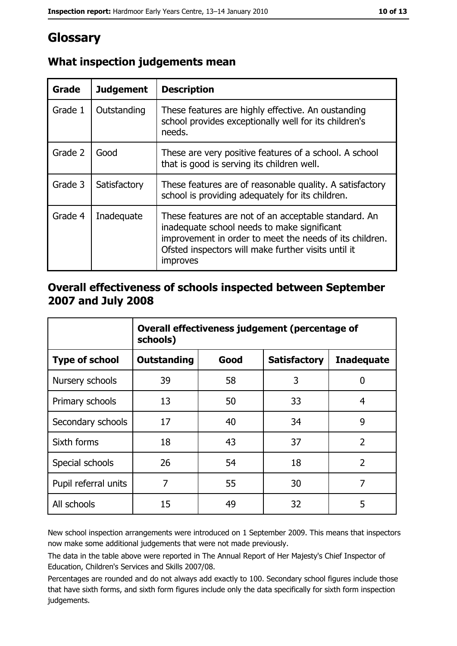# Glossary

| Grade   | <b>Judgement</b> | <b>Description</b>                                                                                                                                                                                                                |  |  |
|---------|------------------|-----------------------------------------------------------------------------------------------------------------------------------------------------------------------------------------------------------------------------------|--|--|
| Grade 1 | Outstanding      | These features are highly effective. An oustanding<br>school provides exceptionally well for its children's<br>needs.                                                                                                             |  |  |
| Grade 2 | Good             | These are very positive features of a school. A school<br>that is good is serving its children well.                                                                                                                              |  |  |
| Grade 3 | Satisfactory     | These features are of reasonable quality. A satisfactory<br>school is providing adequately for its children.                                                                                                                      |  |  |
| Grade 4 | Inadequate       | These features are not of an acceptable standard. An<br>inadequate school needs to make significant<br>improvement in order to meet the needs of its children.<br>Ofsted inspectors will make further visits until it<br>improves |  |  |

# What inspection judgements mean

## Overall effectiveness of schools inspected between September 2007 and July 2008

|                       | Overall effectiveness judgement (percentage of<br>schools) |      |                     |                   |
|-----------------------|------------------------------------------------------------|------|---------------------|-------------------|
| <b>Type of school</b> | <b>Outstanding</b>                                         | Good | <b>Satisfactory</b> | <b>Inadequate</b> |
| Nursery schools       | 39                                                         | 58   | 3                   | 0                 |
| Primary schools       | 13                                                         | 50   | 33                  | 4                 |
| Secondary schools     | 17                                                         | 40   | 34                  | 9                 |
| Sixth forms           | 18                                                         | 43   | 37                  | $\overline{2}$    |
| Special schools       | 26                                                         | 54   | 18                  | $\overline{2}$    |
| Pupil referral units  | 7                                                          | 55   | 30                  | 7                 |
| All schools           | 15                                                         | 49   | 32                  | 5                 |

New school inspection arrangements were introduced on 1 September 2009. This means that inspectors now make some additional judgements that were not made previously.

The data in the table above were reported in The Annual Report of Her Majesty's Chief Inspector of Education, Children's Services and Skills 2007/08.

Percentages are rounded and do not always add exactly to 100. Secondary school figures include those that have sixth forms, and sixth form figures include only the data specifically for sixth form inspection judgements.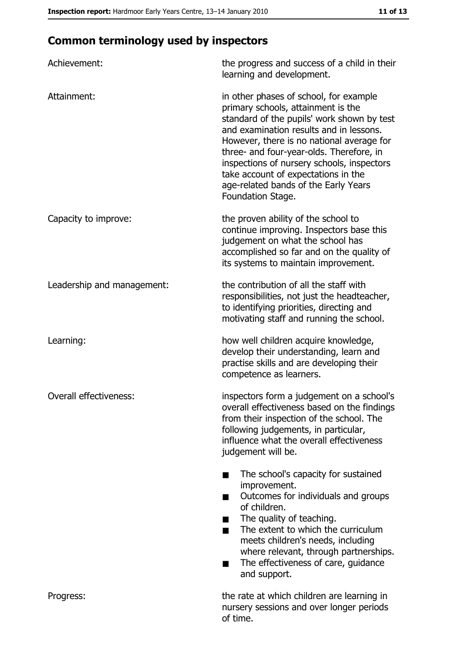# **Common terminology used by inspectors**

| Achievement:               | the progress and success of a child in their<br>learning and development.                                                                                                                                                                                                                                                                                                                                        |
|----------------------------|------------------------------------------------------------------------------------------------------------------------------------------------------------------------------------------------------------------------------------------------------------------------------------------------------------------------------------------------------------------------------------------------------------------|
| Attainment:                | in other phases of school, for example<br>primary schools, attainment is the<br>standard of the pupils' work shown by test<br>and examination results and in lessons.<br>However, there is no national average for<br>three- and four-year-olds. Therefore, in<br>inspections of nursery schools, inspectors<br>take account of expectations in the<br>age-related bands of the Early Years<br>Foundation Stage. |
| Capacity to improve:       | the proven ability of the school to<br>continue improving. Inspectors base this<br>judgement on what the school has<br>accomplished so far and on the quality of<br>its systems to maintain improvement.                                                                                                                                                                                                         |
| Leadership and management: | the contribution of all the staff with<br>responsibilities, not just the headteacher,<br>to identifying priorities, directing and<br>motivating staff and running the school.                                                                                                                                                                                                                                    |
| Learning:                  | how well children acquire knowledge,<br>develop their understanding, learn and<br>practise skills and are developing their<br>competence as learners.                                                                                                                                                                                                                                                            |
| Overall effectiveness:     | inspectors form a judgement on a school's<br>overall effectiveness based on the findings<br>from their inspection of the school. The<br>following judgements, in particular,<br>influence what the overall effectiveness<br>judgement will be.                                                                                                                                                                   |
|                            | The school's capacity for sustained<br>improvement.<br>Outcomes for individuals and groups<br>of children.<br>The quality of teaching.<br>The extent to which the curriculum<br>meets children's needs, including<br>where relevant, through partnerships.<br>The effectiveness of care, guidance<br>٠<br>and support.                                                                                           |
| Progress:                  | the rate at which children are learning in<br>nursery sessions and over longer periods<br>of time.                                                                                                                                                                                                                                                                                                               |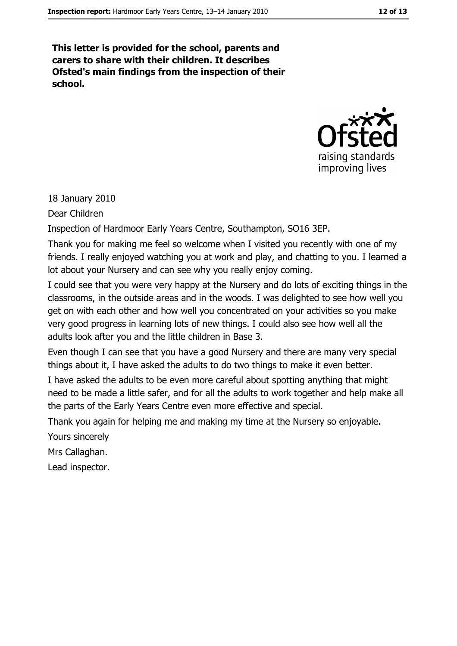This letter is provided for the school, parents and carers to share with their children. It describes Ofsted's main findings from the inspection of their school.



18 January 2010

Dear Children

Inspection of Hardmoor Early Years Centre, Southampton, SO16 3EP.

Thank you for making me feel so welcome when I visited you recently with one of my friends. I really enjoyed watching you at work and play, and chatting to you. I learned a lot about your Nursery and can see why you really enjoy coming.

I could see that you were very happy at the Nursery and do lots of exciting things in the classrooms, in the outside areas and in the woods. I was delighted to see how well you get on with each other and how well you concentrated on your activities so you make very good progress in learning lots of new things. I could also see how well all the adults look after you and the little children in Base 3.

Even though I can see that you have a good Nursery and there are many very special things about it. I have asked the adults to do two things to make it even better.

I have asked the adults to be even more careful about spotting anything that might need to be made a little safer, and for all the adults to work together and help make all the parts of the Early Years Centre even more effective and special.

Thank you again for helping me and making my time at the Nursery so enjoyable.

Yours sincerely

Mrs Callaghan.

Lead inspector.